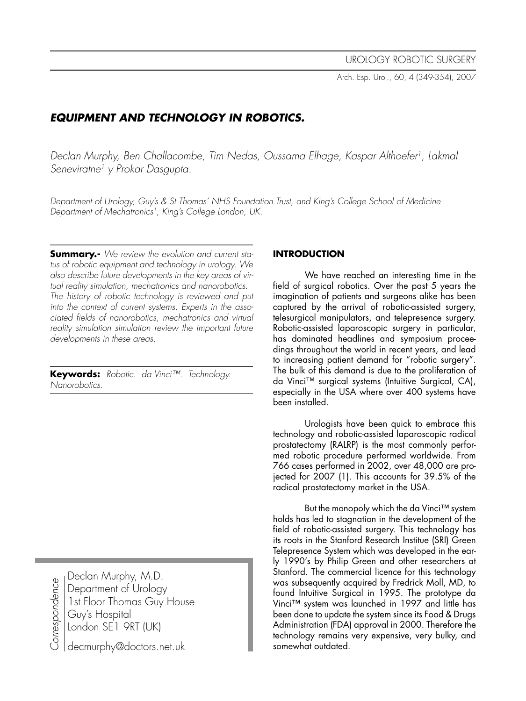Arch. Esp. Urol., 60, 4 (349-354), 2007

# **EQUIPMENT AND TECHNOLOGY IN ROBOTICS.**

Declan Murphy, Ben Challacombe, Tim Nedas, Oussama Elhage, Kaspar Althoefer<sup>1</sup>, Lakmal Seneviratne<sup>1</sup> y Prokar Dasgupta.

Department of Urology, Guy's & St Thomas' NHS Foundation Trust, and King's College School of Medicine Department of Mechatronics<sup>1</sup>, King's College London, UK.

**Summary.-** We review the evolution and current status of robotic equipment and technology in urology. We also describe future developments in the key areas of virtual reality simulation, mechatronics and nanorobotics. The history of robotic technology is reviewed and put into the context of current systems. Experts in the associated fields of nanorobotics, mechatronics and virtual reality simulation simulation review the important future developments in these areas.

**Keywords:** Robotic. da Vinci™. Technology. Nanorobotics.

Correspondenc به Declan Murphy, M.D. Department of Urology 1st Floor Thomas Guy House Guy's Hospital London SE1 9RT (UK)

decmurphy@doctors.net.uk

# **INTRODUCTION**

We have reached an interesting time in the field of surgical robotics. Over the past 5 years the imagination of patients and surgeons alike has been captured by the arrival of robotic-assisted surgery, telesurgical manipulators, and telepresence surgery. Robotic-assisted laparoscopic surgery in particular, has dominated headlines and symposium proceedings throughout the world in recent years, and lead to increasing patient demand for "robotic surgery". The bulk of this demand is due to the proliferation of da Vinci™ surgical systems (Intuitive Surgical, CA), especially in the USA where over 400 systems have been installed.

 Urologists have been quick to embrace this technology and robotic-assisted laparoscopic radical prostatectomy (RALRP) is the most commonly performed robotic procedure performed worldwide. From 766 cases performed in 2002, over 48,000 are projected for 2007 (1). This accounts for 39.5% of the radical prostatectomy market in the USA.

 But the monopoly which the da Vinci™ system holds has led to stagnation in the development of the field of robotic-assisted surgery. This technology has its roots in the Stanford Research Institue (SRI) Green Telepresence System which was developed in the early 1990's by Philip Green and other researchers at Stanford. The commercial licence for this technology was subsequently acquired by Fredrick Moll, MD, to found Intuitive Surgical in 1995. The prototype da Vinci™ system was launched in 1997 and little has been done to update the system since its Food & Drugs Administration (FDA) approval in 2000. Therefore the technology remains very expensive, very bulky, and somewhat outdated.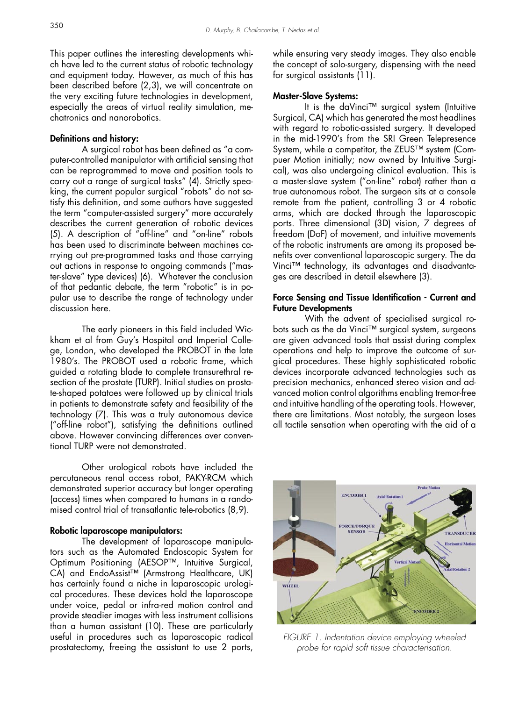This paper outlines the interesting developments which have led to the current status of robotic technology and equipment today. However, as much of this has been described before (2,3), we will concentrate on the very exciting future technologies in development, especially the areas of virtual reality simulation, mechatronics and nanorobotics.

# Definitions and history:

 A surgical robot has been defined as "a computer-controlled manipulator with artificial sensing that can be reprogrammed to move and position tools to carry out a range of surgical tasks" (4). Strictly speaking, the current popular surgical "robots" do not satisfy this definition, and some authors have suggested the term "computer-assisted surgery" more accurately describes the current generation of robotic devices (5). A description of "off-line" and "on-line" robots has been used to discriminate between machines carrying out pre-programmed tasks and those carrying out actions in response to ongoing commands ("master-slave" type devices) (6). Whatever the conclusion of that pedantic debate, the term "robotic" is in popular use to describe the range of technology under discussion here.

 The early pioneers in this field included Wickham et al from Guy's Hospital and Imperial College, London, who developed the PROBOT in the late 1980's. The PROBOT used a robotic frame, which guided a rotating blade to complete transurethral resection of the prostate (TURP). Initial studies on prostate-shaped potatoes were followed up by clinical trials in patients to demonstrate safety and feasibility of the technology (7). This was a truly autonomous device ("off-line robot"), satisfying the definitions outlined above. However convincing differences over conventional TURP were not demonstrated.

 Other urological robots have included the percutaneous renal access robot, PAKY-RCM which demonstrated superior accuracy but longer operating (access) times when compared to humans in a randomised control trial of transatlantic tele-robotics (8,9).

### Robotic laparoscope manipulators:

 The development of laparoscope manipulators such as the Automated Endoscopic System for Optimum Positioning (AESOP™, Intuitive Surgical, CA) and EndoAssist™ (Armstrong Healthcare, UK) has certainly found a niche in laparoscopic urological procedures. These devices hold the laparoscope under voice, pedal or infra-red motion control and provide steadier images with less instrument collisions than a human assistant (10). These are particularly useful in procedures such as laparoscopic radical prostatectomy, freeing the assistant to use 2 ports, while ensuring very steady images. They also enable the concept of solo-surgery, dispensing with the need for surgical assistants (11).

## Master-Slave Systems:

 It is the daVinci™ surgical system (Intuitive Surgical, CA) which has generated the most headlines with regard to robotic-assisted surgery. It developed in the mid-1990's from the SRI Green Telepresence System, while a competitor, the ZEUS™ system (Compuer Motion initially; now owned by Intuitive Surgical), was also undergoing clinical evaluation. This is a master-slave system ("on-line" robot) rather than a true autonomous robot. The surgeon sits at a console remote from the patient, controlling 3 or 4 robotic arms, which are docked through the laparoscopic ports. Three dimensional (3D) vision, 7 degrees of freedom (DoF) of movement, and intuitive movements of the robotic instruments are among its proposed benefits over conventional laparoscopic surgery. The da Vinci™ technology, its advantages and disadvantages are described in detail elsewhere (3).

## Force Sensing and Tissue Identification - Current and Future Developments

 With the advent of specialised surgical robots such as the da Vinci™ surgical system, surgeons are given advanced tools that assist during complex operations and help to improve the outcome of surgical procedures. These highly sophisticated robotic devices incorporate advanced technologies such as precision mechanics, enhanced stereo vision and advanced motion control algorithms enabling tremor-free and intuitive handling of the operating tools. However, there are limitations. Most notably, the surgeon loses all tactile sensation when operating with the aid of a



FIGURE 1. Indentation device employing wheeled probe for rapid soft tissue characterisation.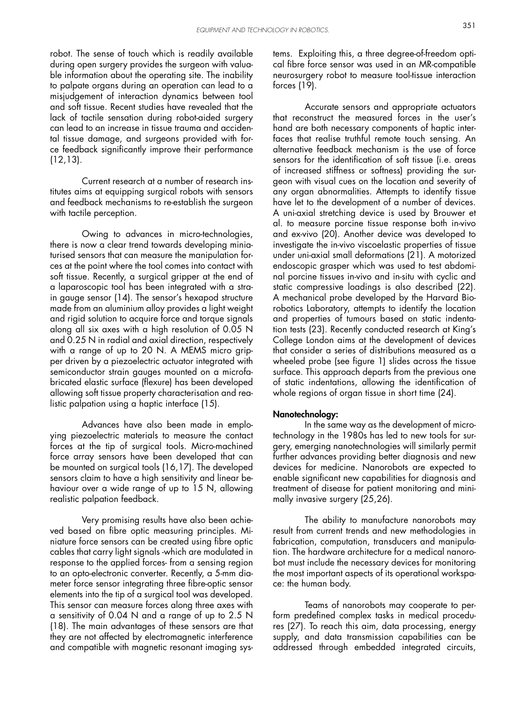robot. The sense of touch which is readily available during open surgery provides the surgeon with valuable information about the operating site. The inability to palpate organs during an operation can lead to a misjudgement of interaction dynamics between tool and soft tissue. Recent studies have revealed that the lack of tactile sensation during robot-aided surgery can lead to an increase in tissue trauma and accidental tissue damage, and surgeons provided with force feedback significantly improve their performance (12,13).

 Current research at a number of research institutes aims at equipping surgical robots with sensors and feedback mechanisms to re-establish the surgeon with tactile perception.

 Owing to advances in micro-technologies, there is now a clear trend towards developing miniaturised sensors that can measure the manipulation forces at the point where the tool comes into contact with soft tissue. Recently, a surgical gripper at the end of a laparoscopic tool has been integrated with a strain gauge sensor (14). The sensor's hexapod structure made from an aluminium alloy provides a light weight and rigid solution to acquire force and torque signals along all six axes with a high resolution of 0.05 N and 0.25 N in radial and axial direction, respectively with a range of up to 20 N. A MEMS micro gripper driven by a piezoelectric actuator integrated with semiconductor strain gauges mounted on a microfabricated elastic surface (flexure) has been developed allowing soft tissue property characterisation and realistic palpation using a haptic interface (15).

 Advances have also been made in employing piezoelectric materials to measure the contact forces at the tip of surgical tools. Micro-machined force array sensors have been developed that can be mounted on surgical tools (16,17). The developed sensors claim to have a high sensitivity and linear behaviour over a wide range of up to 15 N, allowing realistic palpation feedback.

 Very promising results have also been achieved based on fibre optic measuring principles. Miniature force sensors can be created using fibre optic cables that carry light signals -which are modulated in response to the applied forces- from a sensing region to an opto-electronic converter. Recently, a 5-mm diameter force sensor integrating three fibre-optic sensor elements into the tip of a surgical tool was developed. This sensor can measure forces along three axes with a sensitivity of 0.04 N and a range of up to 2.5 N (18). The main advantages of these sensors are that they are not affected by electromagnetic interference and compatible with magnetic resonant imaging systems. Exploiting this, a three degree-of-freedom optical fibre force sensor was used in an MR-compatible neurosurgery robot to measure tool-tissue interaction forces (19).

 Accurate sensors and appropriate actuators that reconstruct the measured forces in the user's hand are both necessary components of haptic interfaces that realise truthful remote touch sensing. An alternative feedback mechanism is the use of force sensors for the identification of soft tissue (i.e. areas of increased stiffness or softness) providing the surgeon with visual cues on the location and severity of any organ abnormalities. Attempts to identify tissue have let to the development of a number of devices. A uni-axial stretching device is used by Brouwer et al. to measure porcine tissue response both in-vivo and ex-vivo (20). Another device was developed to investigate the in-vivo viscoelastic properties of tissue under uni-axial small deformations (21). A motorized endoscopic grasper which was used to test abdominal porcine tissues in-vivo and in-situ with cyclic and static compressive loadings is also described (22). A mechanical probe developed by the Harvard Biorobotics Laboratory, attempts to identify the location and properties of tumours based on static indentation tests (23). Recently conducted research at King's College London aims at the development of devices that consider a series of distributions measured as a wheeled probe (see figure 1) slides across the tissue surface. This approach departs from the previous one of static indentations, allowing the identification of whole regions of organ tissue in short time (24).

#### Nanotechnology:

 In the same way as the development of microtechnology in the 1980s has led to new tools for surgery, emerging nanotechnologies will similarly permit further advances providing better diagnosis and new devices for medicine. Nanorobots are expected to enable significant new capabilities for diagnosis and treatment of disease for patient monitoring and minimally invasive surgery (25,26).

 The ability to manufacture nanorobots may result from current trends and new methodologies in fabrication, computation, transducers and manipulation. The hardware architecture for a medical nanorobot must include the necessary devices for monitoring the most important aspects of its operational workspace: the human body.

 Teams of nanorobots may cooperate to perform predefined complex tasks in medical procedures (27). To reach this aim, data processing, energy supply, and data transmission capabilities can be addressed through embedded integrated circuits,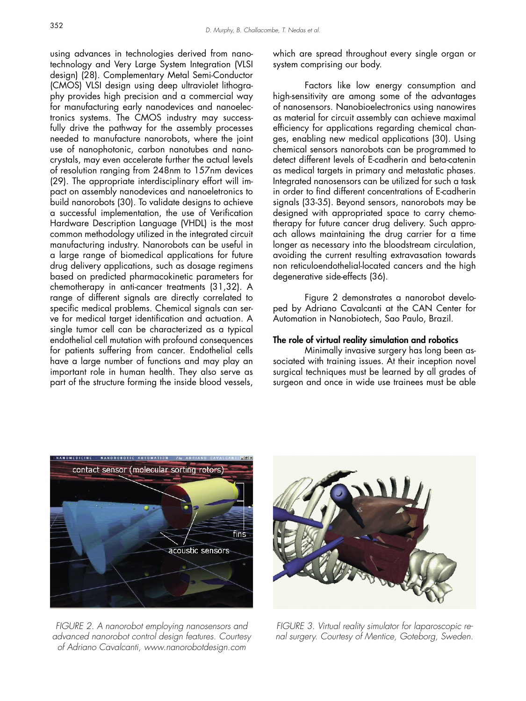using advances in technologies derived from nanotechnology and Very Large System Integration (VLSI design) (28). Complementary Metal Semi-Conductor (CMOS) VLSI design using deep ultraviolet lithography provides high precision and a commercial way for manufacturing early nanodevices and nanoelectronics systems. The CMOS industry may successfully drive the pathway for the assembly processes needed to manufacture nanorobots, where the joint use of nanophotonic, carbon nanotubes and nanocrystals, may even accelerate further the actual levels of resolution ranging from 248nm to 157nm devices (29). The appropriate interdisciplinary effort will impact on assembly nanodevices and nanoeletronics to build nanorobots (30). To validate designs to achieve a successful implementation, the use of Verification Hardware Description Language (VHDL) is the most common methodology utilized in the integrated circuit manufacturing industry. Nanorobots can be useful in a large range of biomedical applications for future drug delivery applications, such as dosage regimens based on predicted pharmacokinetic parameters for chemotherapy in anti-cancer treatments (31,32). A range of different signals are directly correlated to specific medical problems. Chemical signals can serve for medical target identification and actuation. A single tumor cell can be characterized as a typical endothelial cell mutation with profound consequences for patients suffering from cancer. Endothelial cells have a large number of functions and may play an important role in human health. They also serve as part of the structure forming the inside blood vessels,

which are spread throughout every single organ or system comprising our body.

 Factors like low energy consumption and high-sensitivity are among some of the advantages of nanosensors. Nanobioelectronics using nanowires as material for circuit assembly can achieve maximal efficiency for applications regarding chemical changes, enabling new medical applications (30). Using chemical sensors nanorobots can be programmed to detect different levels of E-cadherin and beta-catenin as medical targets in primary and metastatic phases. Integrated nanosensors can be utilized for such a task in order to find different concentrations of E-cadherin signals (33-35). Beyond sensors, nanorobots may be designed with appropriated space to carry chemotherapy for future cancer drug delivery. Such approach allows maintaining the drug carrier for a time longer as necessary into the bloodstream circulation, avoiding the current resulting extravasation towards non reticuloendothelial-located cancers and the high degenerative side-effects (36).

 Figure 2 demonstrates a nanorobot developed by Adriano Cavalcanti at the CAN Center for Automation in Nanobiotech, Sao Paulo, Brazil.

#### The role of virtual reality simulation and robotics

 Minimally invasive surgery has long been associated with training issues. At their inception novel surgical techniques must be learned by all grades of surgeon and once in wide use trainees must be able



FIGURE 2. A nanorobot employing nanosensors and advanced nanorobot control design features. Courtesy of Adriano Cavalcanti, www.nanorobotdesign.com



FIGURE 3. Virtual reality simulator for laparoscopic renal surgery. Courtesy of Mentice, Goteborg, Sweden.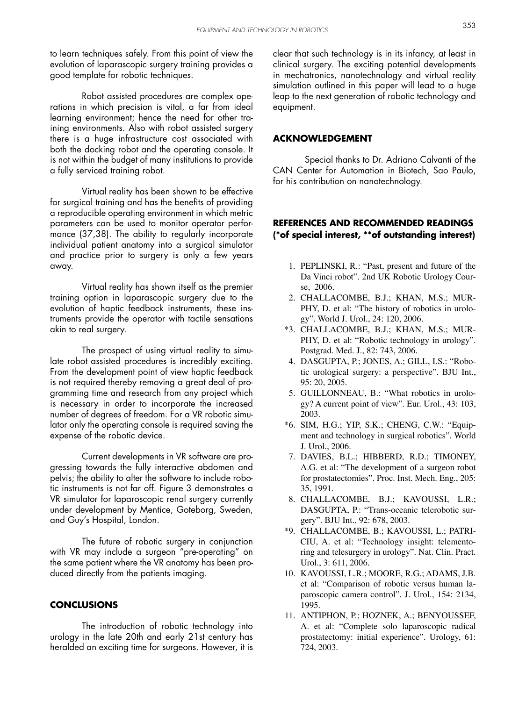to learn techniques safely. From this point of view the evolution of laparascopic surgery training provides a good template for robotic techniques.

 Robot assisted procedures are complex operations in which precision is vital, a far from ideal learning environment; hence the need for other training environments. Also with robot assisted surgery there is a huge infrastructure cost associated with both the docking robot and the operating console. It is not within the budget of many institutions to provide a fully serviced training robot.

 Virtual reality has been shown to be effective for surgical training and has the benefits of providing a reproducible operating environment in which metric parameters can be used to monitor operator performance (37,38). The ability to regularly incorporate individual patient anatomy into a surgical simulator and practice prior to surgery is only a few years away.

 Virtual reality has shown itself as the premier training option in laparascopic surgery due to the evolution of haptic feedback instruments, these instruments provide the operator with tactile sensations akin to real surgery.

 The prospect of using virtual reality to simulate robot assisted procedures is incredibly exciting. From the development point of view haptic feedback is not required thereby removing a great deal of programming time and research from any project which is necessary in order to incorporate the increased number of degrees of freedom. For a VR robotic simulator only the operating console is required saving the expense of the robotic device.

 Current developments in VR software are progressing towards the fully interactive abdomen and pelvis; the ability to alter the software to include robotic instruments is not far off. Figure 3 demonstrates a VR simulator for laparoscopic renal surgery currently under development by Mentice, Goteborg, Sweden, and Guy's Hospital, London.

 The future of robotic surgery in conjunction with VR may include a surgeon "pre-operating" on the same patient where the VR anatomy has been produced directly from the patients imaging.

## **CONCLUSIONS**

 The introduction of robotic technology into urology in the late 20th and early 21st century has heralded an exciting time for surgeons. However, it is clear that such technology is in its infancy, at least in clinical surgery. The exciting potential developments in mechatronics, nanotechnology and virtual reality simulation outlined in this paper will lead to a huge leap to the next generation of robotic technology and equipment.

## **ACKNOWLEDGEMENT**

Special thanks to Dr. Adriano Calvanti of the CAN Center for Automation in Biotech, Sao Paulo, for his contribution on nanotechnology.

# **REFERENCES AND RECOMMENDED READINGS (\*of special interest, \*\*of outstanding interest)**

- 1. PEPLINSKI, R.: "Past, present and future of the Da Vinci robot". 2nd UK Robotic Urology Course, 2006.
- CHALLACOMBE, B.J.; KHAN, M.S.; MUR-2. PHY, D. et al: "The history of robotics in urology". World J. Urol., 24: 120, 2006.
- CHALLACOMBE, B.J.; KHAN, M.S.; MUR-\*3. PHY, D. et al: "Robotic technology in urology". Postgrad. Med. J., 82: 743, 2006.
- DASGUPTA, P.; JONES, A.; GILL, I.S.: "Robo-4. tic urological surgery: a perspective". BJU Int., 95: 20, 2005.
- GUILLONNEAU, B.: "What robotics in urolo-5. gy? A current point of view". Eur. Urol., 43: 103, 2003.
- \*6. SIM, H.G.; YIP, S.K.; CHENG, C.W.: "Equipment and technology in surgical robotics". World J. Urol., 2006.
- 7. DAVIES, B.L.; HIBBERD, R.D.; TIMONEY, A.G. et al: "The development of a surgeon robot for prostatectomies". Proc. Inst. Mech. Eng., 205: 35, 1991.
- CHALLACOMBE, B.J.; KAVOUSSI, L.R.; 8. DASGUPTA, P.: "Trans-oceanic telerobotic surgery". BJU Int., 92: 678, 2003.
- CHALLACOMBE, B.; KAVOUSSI, L.; PATRI-\*9. CIU, A. et al: "Technology insight: telementoring and telesurgery in urology". Nat. Clin. Pract. Urol., 3: 611, 2006.
- KAVOUSSI, L.R.; MOORE, R.G.; ADAMS, J.B. 10. et al: "Comparison of robotic versus human laparoscopic camera control". J. Urol., 154: 2134, 1995.
- ANTIPHON, P.; HOZNEK, A.; BENYOUSSEF, 11. A. et al: "Complete solo laparoscopic radical prostatectomy: initial experience". Urology, 61: 724, 2003.